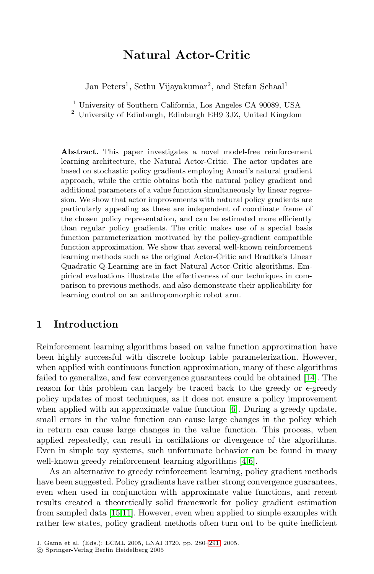# **Natural Actor-Critic**

Jan Peters<sup>1</sup>, Sethu Vijayakumar<sup>2</sup>, and Stefan Schaal<sup>1</sup>

<sup>1</sup> University of Southern California, Los Angeles CA 90089, USA

<sup>2</sup> University of Edinburgh, Edinburgh EH9 3JZ, United Kingdom

**Abstract.** This paper investigates a novel model-free reinforcement learning architecture, the Natural Actor-Critic. The actor updates are based on stochastic policy gradients employing Amari's natural gradient approach, while the critic obtains both the natural policy gradient and additional parameters of a value function simultaneously by linear regression. We show that actor improvements with natural policy gradients are particularly appealing as these are independent of coordinate frame of the chosen policy representation, and can be estimated more efficiently than regular policy gradients. The critic makes use of a special basis function parameterization motivated by the policy-gradient compatible function approximation. We show that several well-known reinforcement learning methods such as the original Actor-Critic and Bradtke's Linear Quadratic Q-Learning are in fact Natural Actor-Critic algorithms. Empirical evaluations illustrate the effectiveness of our techniques in comparison to previous methods, and also demonstrate their applicability for learning control on an anthropomorphic robot arm.

# **1 Introduction**

Reinforcement learning algorithms based on value function approximation have been highly successful with discrete lookup table parameterization. However, when applied with continuous function approximation, many of these algorithms failed to generalize, and few convergence guarantees could be obtained [14]. The reason for this problem can largel[y](#page-10-0) [be](#page-10-1) traced back to the greedy or  $\epsilon$ -greedy policy updates of most techniques, as it does not ensure a policy improvement when applied with an approximate value function [6]. During a greedy update, small errors in the value function can cause large changes in the policy which in return can cause large changes in the value function. This process, when [app](#page-10-2)[lied](#page-10-3) repeatedly, can result in oscillations or divergence of the algorithms. Even in simple toy systems, such unfortunate behavior can be found in many well-known greedy reinforcement learning algorithms [4,6].

As an alternative to gr[eed](#page-11-0)y reinforcement learning, policy gradient methods have been suggested. Policy gradients have rather strong convergence guarantees, even when used in conjunction with approximate value functions, and recent results created a theoretically solid framework for policy gradient estimation from sampled data [15,11]. However, even when applied to simple examples with rather few states, policy gradient methods often turn out to be quite inefficient

J. Gama et al. (Eds.): ECML 2005, LNAI 3720, pp. 280–291, 2005.

c Springer-Verlag Berlin Heidelberg 2005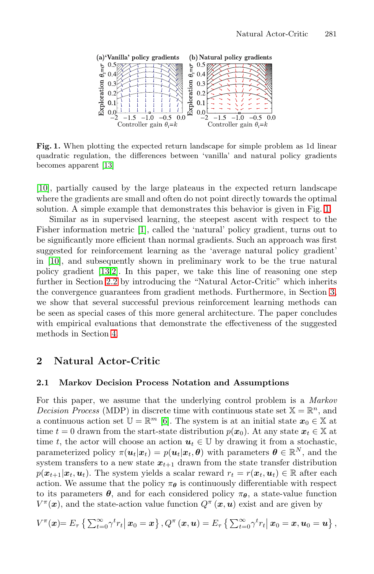

<span id="page-1-0"></span>**Fig. 1.** When plotting the expected return landscape for simple problem as 1d linear quadrati[c](#page-10-4) regulation, the differences between 'vanilla' and natural policy gradients becomes apparent [13]

[10], partially caused by the large plateaus in the expected return landscape [wh](#page-10-6)ere the gradients are small and often do not point directly towards the optimal [sol](#page-2-0)ution. A simple example that demonstrates this behavior is given in Fig. 1.

Similar as in supervised learning, the steepest ascent [w](#page-6-0)ith respect to the Fisher information metric [1], called the 'natural' policy gradient, turns out to be significantly more efficient than normal gradients. Such an approach was first suggested for reinforcement learning as the 'average natural policy gradient' [in](#page-8-0) [10], and subsequently shown in preliminary work to be the true natural policy gradient [13,2]. In this paper, we take this line of reasoning one step further in Section 2.2 by introducing the "Natural Actor-Critic" which inherits the convergence guarantees from gradient methods. Furthermore, in Section 3, we show that several successful previous reinforcement learning methods can be seen as special cases of this more general architecture. The paper concludes with empirical evaluations that demonstrate the effectiveness of the suggested methods in Section 4.

# **2 Natural Actor-Critic**

#### **2.1 Markov Decision Process Notation and Assumptions**

For this paper, we assume that the underlying control problem is a Markov Decision Process (MDP) in discrete time with continuous state set  $X = \mathbb{R}^n$ , and a continuous action set  $\mathbb{U} = \mathbb{R}^m$  [6]. The system is at an initial state  $x_0 \in \mathbb{X}$  at time  $t = 0$  drawn from the start-state distribution  $p(x_0)$ . At any state  $x_t \in \mathbb{X}$  at time t, the actor will choose an action  $u_t \in U$  by drawing it from a stochastic, parameterized policy  $\pi(\mathbf{u}_t|\mathbf{x}_t) = p(\mathbf{u}_t|\mathbf{x}_t, \boldsymbol{\theta})$  with parameters  $\boldsymbol{\theta} \in \mathbb{R}^N$ , and the system transfers to a new state  $x_{t+1}$  drawn from the state transfer distribution  $p(\mathbf{x}_{t+1}|\mathbf{x}_t,\mathbf{u}_t)$ . The system yields a scalar reward  $r_t = r(\mathbf{x}_t,\mathbf{u}_t) \in \mathbb{R}$  after each action. We assume that the policy  $\pi_{\theta}$  is continuously differentiable with respect to its parameters  $\theta$ , and for each considered policy  $\pi_{\theta}$ , a state-value function  $V^{\pi}(\boldsymbol{x})$ , and the state-action value function  $Q^{\pi}(\boldsymbol{x}, \boldsymbol{u})$  exist and are given by

$$
V^{\pi}(\boldsymbol{x})=E_{\tau}\left\{\sum_{t=0}^{\infty}\gamma^{t}r_{t}\big|\,\boldsymbol{x}_{0}=\boldsymbol{x}\right\},Q^{\pi}\left(\boldsymbol{x},\boldsymbol{u}\right)=E_{\tau}\left\{\sum_{t=0}^{\infty}\gamma^{t}r_{t}\big|\,\boldsymbol{x}_{0}=\boldsymbol{x},\boldsymbol{u}_{0}=\boldsymbol{u}\right\},
$$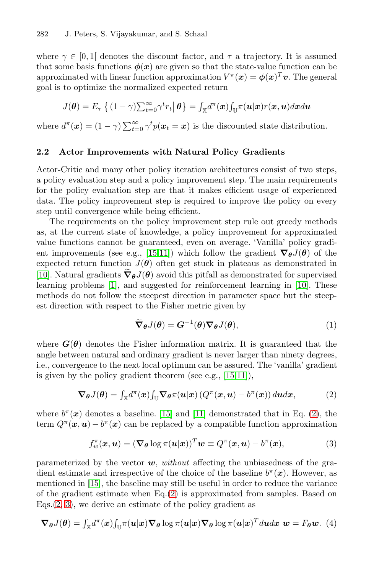<span id="page-2-0"></span>where  $\gamma \in [0, 1]$  denotes the discount factor, and  $\tau$  a trajectory. It is assumed that some basis functions  $\phi(x)$  are given so that the state-value function can be approximated with linear function approximation  $V^{\pi}(\boldsymbol{x}) = \boldsymbol{\phi}(\boldsymbol{x})^T \boldsymbol{v}$ . The general goal is to optimize the normalized expected return

$$
J(\boldsymbol{\theta}) = E_{\tau} \left\{ (1-\gamma) \sum_{t=0}^{\infty} \gamma^t r_t \, \vert \, \boldsymbol{\theta} \right\} = \int_{\mathbb{X}} d^{\pi}(\boldsymbol{x}) \int_{\mathbb{U}} \pi(\boldsymbol{u}|\boldsymbol{x}) r(\boldsymbol{x}, \boldsymbol{u}) d\boldsymbol{x} d\boldsymbol{u}
$$

where  $d^{\pi}(\boldsymbol{x}) = (1 - \gamma) \sum_{t=0}^{\infty} \gamma^t p(\boldsymbol{x}_t = \boldsymbol{x})$  is the discounted state distribution.

#### **2.2 Actor Improvements with Natural Policy Gradients**

Actor-Critic and many other policy iteration architectures consist of two steps, a policy e[valu](#page-10-2)[ati](#page-10-3)on step and a policy improvement step. The main requirements for the policy evaluation step are that it makes efficient usage of experienced data. The policy improvement step is required to improve the policy on every [ste](#page-10-4)p until convergence while being efficient.

<span id="page-2-3"></span>The requirements on the policy improvement step rule out greedy methods as, at the current state of knowledge, a policy improvement for approximated value functions cannot be guaranteed, even on average. 'Vanilla' policy gradient improvements (see e.g., [15,11]) which follow the gradient  $\nabla_{\theta}J(\theta)$  of the expected return function  $J(\theta)$  often get stuck in plateaus as demonstrated in [10]. Natural gradients  $\tilde{\nabla}_{\theta}J(\theta)$  avoid this pitfall as demonstrated for supervised learning problems [1], and suggested for reinforcement learning in [10]. These methods do not follow the steepest direction in parameter space but the steepest direction with respect to t[he](#page-10-2) [F](#page-10-2)[ish](#page-10-3)er metric given by

<span id="page-2-4"></span><span id="page-2-1"></span>
$$
\widetilde{\nabla}_{\theta} J(\theta) = G^{-1}(\theta) \nabla_{\theta} J(\theta), \tag{1}
$$

w[he](#page-10-3)re  $G(\theta)$  [deno](#page-10-2)tes the Fisher information matrix. [It](#page-2-1) is guaranteed that the angle between natural and ordinary gradient is never larger than ninety degrees, i.e., convergence to the next local optimum can be assured. The 'vanilla' gradient is given by the policy gradient theorem (see e.g., [15,11]),

$$
\nabla_{\theta} J(\theta) = \int_{\mathbb{X}} d^{\pi}(x) \int_{\mathbb{U}} \nabla_{\theta} \pi(u|x) \left( Q^{\pi}(x, u) - b^{\pi}(x) \right) du dx, \tag{2}
$$

where  $b^{\pi}(\boldsymbol{x})$  de[not](#page-2-1)es a baseline. [15] and [11] demonstrated that in Eq. (2), the term  $Q^{\pi}(\mathbf{x}, \mathbf{u}) - b^{\pi}(\mathbf{x})$  can be replaced by a compatible function approximation

<span id="page-2-2"></span>
$$
f_w^{\pi}(\boldsymbol{x}, \boldsymbol{u}) = (\nabla_{\boldsymbol{\theta}} \log \pi(\boldsymbol{u}|\boldsymbol{x}))^T \boldsymbol{w} \equiv Q^{\pi}(\boldsymbol{x}, \boldsymbol{u}) - b^{\pi}(\boldsymbol{x}), \tag{3}
$$

parameterized by the vector  $w$ , *without* affecting the unbiasedness of the gradient estimate and irrespective of the choice of the baseline  $b^{\pi}(\boldsymbol{x})$ . However, as mentioned in [15], the baseline may still be useful in order to reduce the variance of the gradient estimate when Eq.(2) is approximated from samples. Based on Eqs. $(2, 3)$ , we derive an estimate of the policy gradient as

$$
\nabla_{\theta} J(\theta) = \int_{\mathbb{X}} d^{\pi}(x) \int_{\mathbb{U}} \pi(u|x) \nabla_{\theta} \log \pi(u|x) \nabla_{\theta} \log \pi(u|x)^T du dx \, w = F_{\theta} w. \tag{4}
$$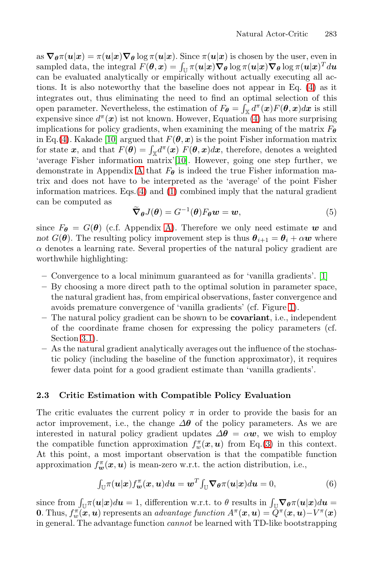as  $\nabla_{\theta} \pi(u|x) = \pi(u|x) \nabla_{\theta} \log \pi(u|x)$ . Since  $\pi(u|x)$  is chosen by the user, even in  $\sup \{ \text{display } F(\bm{\theta}, \bm{x}) = \int_{\mathbb{U}} \pi(\bm{u}|\bm{x}) \bm{\nabla}_{\bm{\theta}} \log \pi(\bm{u}|\bm{x}) \bm{\nabla}_{\bm{\theta}} \log \pi(\bm{u}|\bm{x})^T d\bm{u}$ can be evaluated analytically or empirically without actually executing all actions. It is also n[otew](#page-10-7)orthy that the baseline does not appear in Eq. (4) as it integra[tes](#page-10-8) out, thus eliminating the need to find an optimal selection of this open parameter. Nevertheless, the estimation of  $F_{\theta} = \int_{\mathbb{X}} d^{\pi}(x) F(\theta, x) dx$  is still expensi[ve](#page-2-2) since  $d^{\pi}(\boldsymbol{x})$  $d^{\pi}(\boldsymbol{x})$  ist not known. However, Equation (4) has more surprising implications for policy gradients, when examining the meaning of the matrix  $F_{\theta}$ in Eq.(4). Kakade [10] argued that  $F(\theta, x)$  is the point Fisher information matrix for state *x*, an[d t](#page-10-8)hat  $F(\theta) = \int_{\mathbb{X}} d^{\pi}(x) F(\theta, x) dx$ , therefore, denotes a weighted 'average Fisher information matrix'[10]. However, going one step further, we demonstrate in Appendix A that  $F_{\theta}$  is indeed the true Fisher information matrix and does not have to be interpreted as the 'average' of the point Fisher information matrices. Eqs. $(4)$  and  $(1)$  combined imply that the natural gradient can be computed as

$$
\widetilde{\nabla}_{\theta} J(\theta) = G^{-1}(\theta) F_{\theta} \mathbf{w} = \mathbf{w}, \tag{5}
$$

since  $F_{\theta} = G(\theta)$  (c.f. Appendix A). Therefore we only need estimate *w* and *not*  $G(\theta)$ . The resulting policy improvement st[ep](#page-1-0) is thus  $\theta_{i+1} = \theta_i + \alpha \omega$  where  $\alpha$  denotes a learning rate. Several properties of the natural policy gradient are worthwhile highlighting:

- **–** Convergence to a local minimum guaranteed as for 'vanilla gradients'. [1]
- **–** By choosing a more direct path to the optimal solution in parameter space, the natural gradient has, from empirical observations, faster convergence and avoids premature convergence of 'vanilla gradients' (cf. Figure 1).
- **–** The natural policy gradient can be shown to be **covariant**, i.e., independent of the coordinate frame chosen for expressing the policy parameters (cf. Section 3.1).
- **–** As the natural gradient analytically averages out the influence of the stochastic policy (including the baseline of the function approximator), it requires fewer data point for a good gradient [est](#page-2-4)imate than 'vanilla gradients'.

#### **2.3 Critic Estimation with Compatible Policy Evaluation**

The critic evaluates the current policy  $\pi$  in order to provide the basis for an actor improvement, i.e., the change  $\Delta\theta$  of the policy parameters. As we are interested in natural policy gradient updates  $\Delta \theta = \alpha w$ , we wish to employ the compatible function approximation  $f_w^{\pi}(\mathbf{x}, \mathbf{u})$  from Eq.(3) in this context. At this point, a most important observation is that the compatible function approximation  $f_{\mathbf{w}}^{\pi}(\mathbf{x}, \mathbf{u})$  is mean-zero w.r.t. the action distribution, i.e.,

$$
\int_{\mathbb{U}} \pi(u|x) f_w^{\pi}(x, u) du = w^T \int_{\mathbb{U}} \nabla_{\theta} \pi(u|x) du = 0,
$$
\n(6)

since from  $\int_{\mathbb{U}} \pi(u|x) du = 1$ , differention w.r.t. to  $\theta$  results in  $\int_{\mathbb{U}} \nabla_{\theta} \pi(u|x) du =$ **0**. Thus,  $f_w^{\pi}(\bm{x}, \bm{u})$  represents an *advantage function A*<sup> $\pi$ </sup>( $\bm{x}, \bm{u}$ ) =  $\widetilde{Q}^{\pi}(\bm{x}, \bm{u})$  –  $V^{\pi}(\bm{x})$ in general. The advantage function cannot be learned with TD-like bootstrapping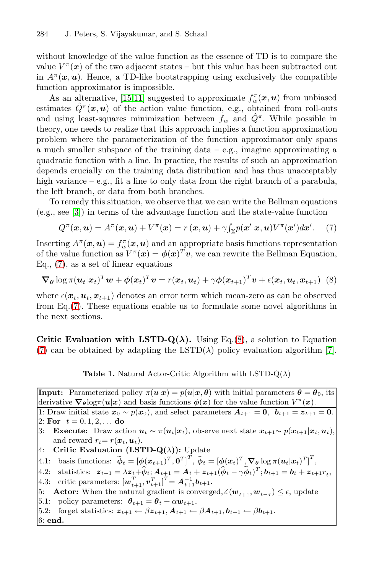#### 284 J. Peters, S. Vijayakumar, and S. Schaal

without knowledge of the value function as the essence of TD is to compare the value  $V^{\pi}(\boldsymbol{x})$  of the two adjacent states – but this value has been subtracted out in  $A^{\pi}(\mathbf{x}, \mathbf{u})$ . Hence, a TD-like bootstrapping using exclusively the compatible function approximator is impossible.

As an alternative, [15,11] suggested to approximate  $f_w^{\pi}(\boldsymbol{x}, \boldsymbol{u})$  from unbiased estimates  $\hat{Q}^{\pi}(\boldsymbol{x},\boldsymbol{u})$  of the action value function, e.g., obtained from roll-outs and using least-squares minimization between  $f_w$  and  $Q^{\pi}$ . While possible in theory, one needs to realize that this approach implies a function approximation problem where the parameterization of the function approximator only spans a much smaller subspace of the training data  $-$  e.g., imagine approximating a quadratic function with a line. In practice, the results of such an approximation depends crucially on the training data distribution and has thus unacceptably high variance – e.g., fit a line to only data from the right branch of a parabula, the left branch, or data from both branches.

To remedy this situation, we observe that we can write the Bellman equations (e.g., see [3]) in terms of the advantage function and the state-value function

<span id="page-4-0"></span>
$$
Q^{\pi}(\boldsymbol{x},\boldsymbol{u}) = A^{\pi}(\boldsymbol{x},\boldsymbol{u}) + V^{\pi}(\boldsymbol{x}) = r(\boldsymbol{x},\boldsymbol{u}) + \gamma \int_{\mathbb{X}} p(\boldsymbol{x}'|\boldsymbol{x},\boldsymbol{u}) V^{\pi}(\boldsymbol{x}') d\boldsymbol{x}'. \quad (7)
$$

Inserting  $A^{\pi}(\mathbf{x}, \mathbf{u}) = f_w^{\pi}(\mathbf{x}, \mathbf{u})$  and an appropriate basis functions representation of the value function as  $V^{\pi}(x) = \phi(x)^{T} v$ , we can rewrite the Bellman Equation, Eq., (7), as a set of linear equatio[ns](#page-4-0)

$$
\nabla_{\theta} \log \pi (u_t | x_t)^T w + \phi(x_t)^T v = r(x_t, u_t) + \gamma \phi(x_{t+1})^T v + \epsilon (x_t, u_t, x_{t+1})
$$
 (8)

<span id="page-4-1"></span>where  $\epsilon(\mathbf{x}_t, \mathbf{u}_t, \mathbf{x}_{t+1})$  denotes an error term which mean-zero as can be observed from Eq.(7). These equations enable us to formulate some novel algorithms in the next sections.

**Critic Evaluation with LSTD-Q(** $\lambda$ **).** Using Eq.(8), a solution to Equation (7) can be obtained by adapting the  $\text{LSTD}(\lambda)$  policy evaluation algorithm [7].

**Table 1.** Natural Actor-Critic Algorithm with LSTD- $Q(\lambda)$ 

**Input:** Parameterized policy  $\pi(u|x) = p(u|x, \theta)$  with initial parameters  $\theta = \theta_0$ , its derivative  $\nabla_{\theta} \log \pi(u|x)$  and basis functions  $\phi(x)$  for the value function  $V^{\pi}(x)$ . 1: Draw initial state  $x_0 \sim p(x_0)$ , and select parameters  $A_{t+1} = 0$ ,  $b_{t+1} = z_{t+1} = 0$ . 2: **For**  $t = 0, 1, 2, ...$  **do** 3: **Execute:** Draw action  $u_t \sim \pi(u_t|x_t)$ , observe next state  $x_{t+1} \sim p(x_{t+1}|x_t, u_t)$ , and reward  $r_t = r(\boldsymbol{x}_t, \boldsymbol{u}_t)$ . 4: **Critic Evaluation (LSTD-Q(**λ**)):** Update 4.1: basis functions:  $\widetilde{\phi}_t = [\phi(x_{t+1})^T, \mathbf{0}^T]^T, \widehat{\phi}_t = [\phi(x_t)^T, \nabla_{\theta} \log \pi (u_t | x_t)^T]^T$ , 4.2: statistics:  $z_{t+1} = \lambda z_t + \hat{\phi}_t$ ;  $A_{t+1} = A_t + z_{t+1}(\hat{\phi}_t - \gamma \tilde{\phi}_t)^T$ ;  $b_{t+1} = b_t + z_{t+1}r_t$ , 4.3: critic parameters:  $[\mathbf{w}_{t+1}^T, \mathbf{v}_{t+1}^T]^T = \mathbf{A}_{t+1}^{-1} \mathbf{b}_{t+1}.$ 5: **Actor:** When the natural gradient is converged, $\angle(w_{t+1}, w_{t-\tau}) \leq \epsilon$ , update 5.1: policy parameters:  $\boldsymbol{\theta}_{t+1} = \boldsymbol{\theta}_t + \alpha \boldsymbol{w}_{t+1},$ 5.2: forget statistics:  $z_{t+1} \leftarrow \beta z_{t+1}, A_{t+1} \leftarrow \beta A_{t+1}, b_{t+1} \leftarrow \beta b_{t+1}.$ 6: **end.**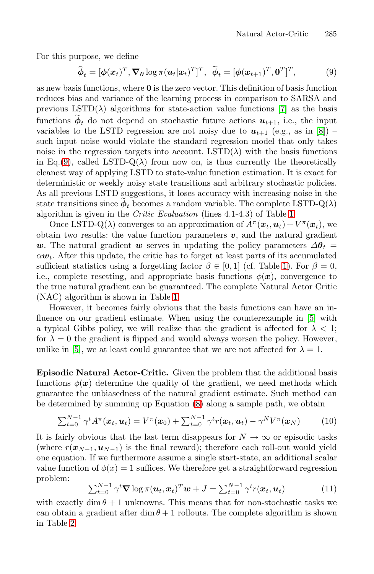For this purpose, we define

$$
\widehat{\boldsymbol{\phi}}_t = [\boldsymbol{\phi}(\boldsymbol{x}_t)^T, \boldsymbol{\nabla}_{\boldsymbol{\theta}} \log \pi(\boldsymbol{u}_t|\boldsymbol{x}_t)^T]^T, \ \widetilde{\boldsymbol{\phi}}_t = [\boldsymbol{\phi}(\boldsymbol{x}_{t+1})^T, \mathbf{0}^T]^T, \tag{9}
$$

as new basis functions, where **0** is the zero vector. This definition of basis function reduces bias and variance of the learning process in comparison to SARSA and previous  $\text{LSTD}(\lambda)$  algorithms for state-action value functions [7] as the basis functions  $\phi_t$  do not depend on stochastic future actions  $u_{t+1}$ , i.e., the input variables to the LSTD regression are not noisy due to  $u_{t+1}$  (e.g., as in [8]) – such input noise would violate the standard r[egr](#page-4-1)ession model that only takes noise in the regression targets into account.  $\text{LSTD}(\lambda)$  with the basis functions in Eq.(9), called LSTD-Q( $\lambda$ ) from now on, is thus currently the theoretically cleanest way of applying LSTD to state-value function estimation. It is exact for deterministic or weekly noisy state transitions and arbitrary stochastic policies. As all previous LSTD suggestions, it loses acc[ur](#page-4-1)acy with increasing noise in the state transitions since  $\phi_t$  becomes a random variable. The complete LSTD-Q( $\lambda$ ) algorithm is given in the Critic Evaluation (lines 4.1-4.3) of Table 1.

Once LSTD-[Q\(](#page-4-1) $\lambda$ ) converges to an approximation of  $A^{\pi}(\boldsymbol{x}_t, \boldsymbol{u}_t) + V^{\pi}(\boldsymbol{x}_t)$ , we obtain two results: the value function parameters  $v$ , and the natural gradient *w*. The natural gradient *w* serves in updating the [p](#page-10-10)olicy parameters  $\Delta \theta_t =$  $\alpha w_t$ . After this update, the critic has to forget at least parts of its accumulated sufficient statistics using a forgetting factor  $\beta \in [0,1]$  (cf. Table 1). For  $\beta = 0$ , i.e., complete resetting, and appropriate basis functions  $\phi(\mathbf{x})$ , convergence to the true natural gradient can be guaranteed. The complete Natural Actor Critic (NAC) algorithm is shown in Table 1.

However, it becomes fairly obvious that the basis functions can have an influence on our gradient estimate. When using the counterexample in [5] with a typical Gibbs policy[, w](#page-4-0)e will realize that the gradient is affected for  $\lambda < 1$ ; for  $\lambda = 0$  the gradient is flipped and would always worsen the policy. However, unlike in [5], we at least could guarantee that we are not affected for  $\lambda = 1$ .

**Episodic Natural Actor-Critic.** Given the problem that the additional basis functions  $\phi(x)$  determine the quality of the gradient, we need methods which guarantee the unbiasedness of the natural gradient estimate. Such method can be determined by summing up Equation (8) along a sample path, we obtain

$$
\sum_{t=0}^{N-1} \gamma^t A^{\pi}(\boldsymbol{x}_t, \boldsymbol{u}_t) = V^{\pi}(\boldsymbol{x}_0) + \sum_{t=0}^{N-1} \gamma^t r(\boldsymbol{x}_t, \boldsymbol{u}_t) - \gamma^N V^{\pi}(\boldsymbol{x}_N)
$$
(10)

It is fairly obvious that the last term disappears for  $N \to \infty$  or episodic tasks (where  $r(x_{N-1}, u_{N-1})$  is the final reward); therefore each roll-out would yield one equation. If we furthermore assume a single start-state, an additional scalar value function of  $\phi(x) = 1$  suffices. We therefore get a straightforward regression problem:

$$
\sum_{t=0}^{N-1} \gamma^t \nabla \log \pi(\boldsymbol{u}_t, \boldsymbol{x}_t)^T \boldsymbol{w} + J = \sum_{t=0}^{N-1} \gamma^t r(\boldsymbol{x}_t, \boldsymbol{u}_t)
$$
(11)

with exactly dim  $\theta + 1$  unknowns. This means that for non-stochastic tasks we can obtain a gradient after dim  $\theta + 1$  rollouts. The complete algorithm is shown in Table 2.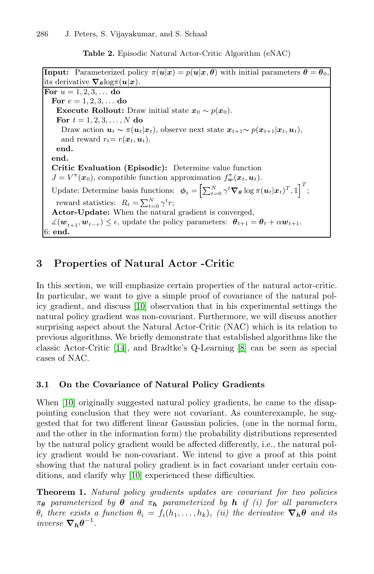**Table 2.** Episodic Natural Actor-Critic Algorithm (eNAC)

**Input:** Parameterized policy  $\pi(u|x) = p(u|x, \theta)$  with initial parameters  $\theta = \theta_0$ . its derivative  $\nabla_{\theta} \log \pi(u|x)$ . **For**  $u = 1, 2, 3, ...$  **do For**  $e = 1, 2, 3, ...$  **do Execute Rollout:** Draw initial state  $x_0 \sim p(x_0)$ . **For**  $t = 1, 2, 3, ..., N$  **do** Draw action  $u_t \sim \pi(u_t|x_t)$ , observe next state  $x_{t+1} \sim p(x_{t+1}|x_t, u_t)$ , and reward  $r_t = r(\boldsymbol{x}_t, \boldsymbol{u}_t)$ . **end. end. Critic Evaluation (Episodic):** Determine value function  $J = V^{\pi}(\boldsymbol{x}_0)$ , compatible function approximation  $f_{\boldsymbol{w}}^{\pi}(\boldsymbol{x}_t, \boldsymbol{u}_t)$ . Update: Determine basis functions:  $\phi_t = \left[ \sum_{t=0}^N \gamma^t \nabla_{\theta} \log \pi(u_t | \mathbf{x}_t)^T, 1 \right]^T$ ; reward statistics:  $R_t = \sum_{t=0}^{N} \gamma^t r;$ **Actor-Update:** When the natural gradient is converged,  $\measuredangle(\boldsymbol{w}_{t+1}, \boldsymbol{w}_{t-\tau}) \leq \epsilon$ , update the policy parameters:  $\boldsymbol{\theta}_{t+1} = \boldsymbol{\theta}_t + \alpha \boldsymbol{w}_{t+1}$ . 6: **en[d.](#page-10-7)**

# <span id="page-6-0"></span>**3 Properties of Natural Actor -Critic**

In this section, we will emphasize certain properties of the natural actor-critic. In particular, we want to give a simple proof of covariance of the natural policy gradient, and discuss [10] observation that in his experimental settings the natural policy gradient was non-covariant. Furthermore, we will discuss another surprising aspect about the Natural Actor-Critic (NAC) which is its relation to previous algorithms. We briefly demonstrate that established algorithms like the classic Actor-Critic [14], and Bradtke's Q-Learning [8] can be seen as special cases of NAC.

#### **3.1 On the Covariance of Natural Policy Gradients**

Whe[n \[10](#page-10-7)] originally suggested natural policy gradients, he came to the disappointing conclusion that they were not covariant. As counterexample, he suggested that for two different linear Gaussian policies, (one in the normal form, and the other in the information form) the probability distributions represented by the natural policy gradient would be affected differently, i.e., the natural policy gradient would be non-covariant. We intend to give a proof at this point showing that the natural policy gradient is in fact covariant under certain conditions, and clarify why [10] experienced these difficulties.

**Theorem 1.** Natural policy gradients updates are covariant for two policies π*<sup>θ</sup>* parameterized by *θ* and π*<sup>h</sup>* parameterized by *h* if (i) for all parameters  $\theta_i$  there exists a function  $\theta_i = f_i(h_1,\ldots,h_k)$ , (ii) the derivative  $\nabla_h \theta$  and its  $inverse \nabla_h \theta^{-1}.$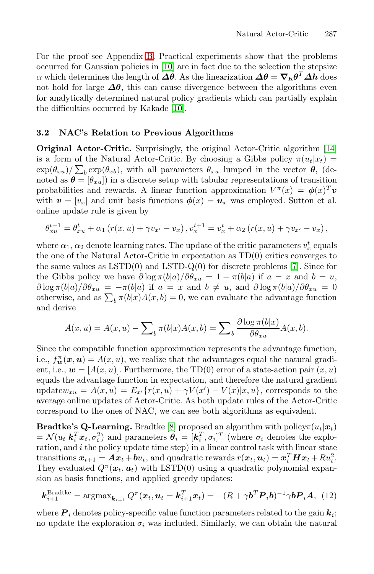For the proof see Appendix B. Practical experiments show that the problems occurred for Gaussian policies in [10] are in fact due to the selection the stepsize α which determines the length of *∆θ*. As the linearization *[∆θ](#page-10-11)* = *∇hθ*T*∆h* does not hold for large *∆θ*, this can cause divergence between the algorithms even for analytically determined natural policy gradients which can partially explain the difficulties occurred by Kakade [10].

#### **3.2 NAC's Relation to Previous Algorithms**

**Original Actor-Critic.** Surprisingly, the original Actor-Critic algorithm [14] is a form of the Natural Actor-Critic. By choosing a Gibbs policy  $\pi(u_t|x_t)$  =  $\exp(\theta_{xu})/\sum_b \exp(\theta_{xb})$ , with all parameters  $\theta_{xu}$  lumped in the vector  $\theta$ , (denoted as  $\boldsymbol{\theta} = [\theta_{xu}]$  in a discrete setup with tabular representations of transition probabilities and rewards. A linear function a[ppr](#page-10-9)oximation  $V^{\pi}(x) = \phi(x)^T v$ with  $\mathbf{v} = [v_x]$  and unit basis functions  $\phi(x) = \mathbf{u}_x$  was employed. Sutton et al. online update rule is given by

$$
\theta_{xu}^{t+1} = \theta_{xu}^t + \alpha_1 (r(x, u) + \gamma v_{x'} - v_x), v_x^{t+1} = v_x^t + \alpha_2 (r(x, u) + \gamma v_{x'} - v_x),
$$

where  $\alpha_1, \alpha_2$  denote learning rates. The update of the critic parameters  $v_x^t$  equals the one of the Natural Actor-Critic in expectation as TD(0) critics converges to the same values as  $LSTD(0)$  and  $LSTD-Q(0)$  for discrete problems [7]. Since for the Gibbs policy we have  $\partial \log \pi(b|a)/\partial \theta_{xu} = 1 - \pi(b|a)$  if  $a = x$  and  $b = u$ ,  $\partial \log \pi(b|a)/\partial \theta_{xu} = -\pi(b|a)$  if  $a = x$  and  $b \neq u$ , and  $\partial \log \pi(b|a)/\partial \theta_{xu} = 0$ otherwise, and as  $\sum_b \pi(b|x)A(x, b) = 0$ , we can evaluate the advantage function and derive

$$
A(x, u) = A(x, u) - \sum_{b} \pi(b|x)A(x, b) = \sum_{b} \frac{\partial \log \pi(b|x)}{\partial \theta_{xu}} A(x, b).
$$

Since the comp[ati](#page-10-12)ble function approximation represents the advantage function, i.e.,  $f_{\boldsymbol{w}}^{\pi}(\boldsymbol{x}, \boldsymbol{u}) = A(x, u)$ , we realize that the advantages equal the natural gradient, i.e.,  $\mathbf{w} = [A(x, u)]$ . Furthermore, the TD(0) error of a state-action pair  $(x, u)$ equals the advantage function in expectation, and therefore the natural gradient update $w_{xu} = A(x, u) = E_{x'}\{r(x, u) + \gamma V(x') - V(x)|x, u\}$ , corresponds to the average online updates of Actor-Critic. As both update rules of the Actor-Critic correspond to the ones of NAC, we can see both algorithms as equivalent.

**Bradtke's Q-Learning.** Bradtke [8] proposed an algorithm with policy $\pi(u_t|\mathbf{x}_t)$  $= \mathcal{N}(u_t|\mathbf{k}_i^T\mathbf{x}_t, \sigma_i^2)$  and parameters  $\boldsymbol{\theta}_i = [\mathbf{k}_i^T, \sigma_i]^T$  (where  $\sigma_i$  denotes the exploration, and i the policy update time step) in a linear control task with linear state transitions  $\boldsymbol{x}_{t+1} = \boldsymbol{A}\boldsymbol{x}_t + \boldsymbol{b}\boldsymbol{u}_t$ , and quadratic rewards  $r(\boldsymbol{x}_t, \boldsymbol{u}_t) = \boldsymbol{x}_t^T \boldsymbol{H} \boldsymbol{x}_t + R u_t^2$ . They evaluated  $Q^{\pi}(\boldsymbol{x}_t, \boldsymbol{u}_t)$  with LSTD(0) using a quadratic polynomial expansion as basis functions, and applied greedy updates:

$$
\boldsymbol{k}_{i+1}^{\text{Bradtke}} = \operatorname{argmax}_{\boldsymbol{k}_{i+1}} Q^{\pi}(\boldsymbol{x}_t, \boldsymbol{u}_t = \boldsymbol{k}_{i+1}^T \boldsymbol{x}_t) = -(R + \gamma \boldsymbol{b}^T \boldsymbol{P}_i \boldsymbol{b})^{-1} \gamma \boldsymbol{b} \boldsymbol{P}_i \boldsymbol{A}, \tag{12}
$$

where  $P_i$  denotes policy-specific value function parameters related to the gain  $k_i$ ; no update the exploration  $\sigma_i$  was included. Similarly, we can obtain the natural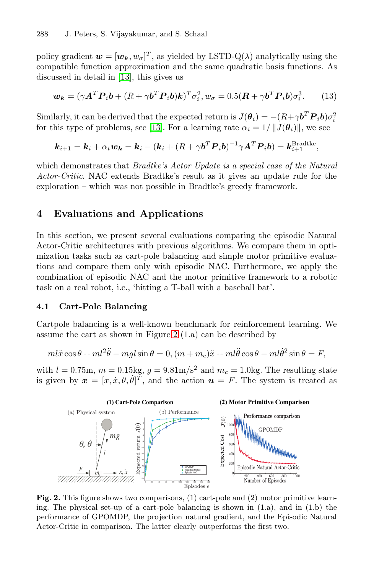288 J. Peters, S. Vijayakumar, and S. Schaal

policy grad[ient](#page-10-5)  $\mathbf{w} = [\mathbf{w}_k, w_\sigma]^T$ , as yielded by LSTD-Q( $\lambda$ ) analytically using the compatible function approximation and the same quadratic basis functions. As discussed in detail in [13], this gives us

$$
\mathbf{w_k} = (\gamma \mathbf{A}^T \mathbf{P}_i \mathbf{b} + (R + \gamma \mathbf{b}^T \mathbf{P}_i \mathbf{b}) \mathbf{k})^T \sigma_i^2, w_\sigma = 0.5(\mathbf{R} + \gamma \mathbf{b}^T \mathbf{P}_i \mathbf{b}) \sigma_i^3. \tag{13}
$$

<span id="page-8-0"></span>Similarly, it can be derived that the expected return is  $J(\theta_i) = -(R + \gamma b^T P_i b) \sigma_i^2$ for this type of problems, see [13]. For a learning rate  $\alpha_i = 1/||J(\theta_i)||$ , we see

$$
\boldsymbol{k}_{i+1} = \boldsymbol{k}_i + \alpha_t \boldsymbol{w_k} = \boldsymbol{k}_i - (\boldsymbol{k}_i + (R + \gamma \boldsymbol{b}^T \boldsymbol{P}_i \boldsymbol{b})^{-1} \gamma \boldsymbol{A}^T \boldsymbol{P}_i \boldsymbol{b}) = \boldsymbol{k}_{i+1}^{\text{Bradtke}},
$$

which demonstrates that *Bradtke's Actor Update is a special case of the Natural* Actor-Critic. NAC extends Bradtke's result as it gives an update rule for the exploration – which was not possible in Bradtke's greedy framework.

# <span id="page-8-1"></span>**4 Evaluations and Applications**

In this section, we present several evaluations comparing the episodic Natural Actor-Critic architectures with previous algorithms. We compare them in optimization tasks s[uch](#page-8-1) as cart-pole balancing and simple motor primitive evaluations and compare them only with episodic NAC. Furthermore, we apply the combination of episodic NAC and the motor primitive framework to a robotic task on a real robot, i.e., 'hitting a T-ball with a baseball bat'.

### **4.1 Cart-Pole Balancing**

Cartpole balancing is a well-known benchmark for reinforcement learning. We assume the cart as shown in Figure 2 (1.a) can be described by

$$
m l\ddot{x} \cos \theta + m l^2 \ddot{\theta} - m g l \sin \theta = 0, (m + m_c)\ddot{x} + m l \ddot{\theta} \cos \theta - m l \dot{\theta}^2 \sin \theta = F,
$$

with  $l = 0.75$ m,  $m = 0.15$ kg,  $g = 9.81$ m/s<sup>2</sup> and  $m_c = 1.0$ kg. The resulting state is given by  $\mathbf{x} = [x, \dot{x}, \theta, \dot{\theta}]^T$ , and the action  $\mathbf{u} = F$ . The system is treated as



Fig. 2. This figure shows two comparisons, (1) cart-pole and (2) motor primitive learning. The physical set-up of a cart-pole balancing is shown in (1.a), and in (1.b) the performance of GPOMDP, the projection natural gradient, and the Episodic Natural Actor-Critic in comparison. The latter clearly outperforms the first two.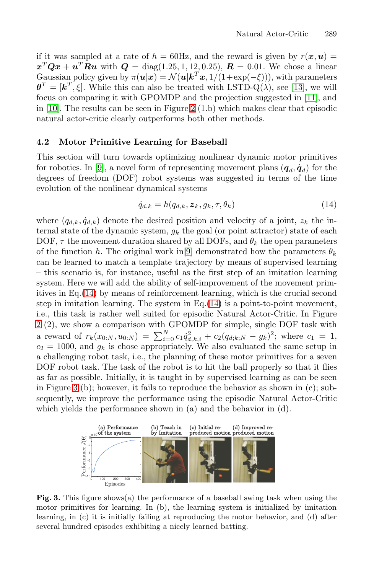if it was sampled at a rate of  $h = 60$ Hz, and the reward is given by  $r(x, u) =$  $x^T Q x + u^T R u$  with  $Q = \text{diag}(1.25, 1, 12, 0.25), R = 0.01$ . We chose a linear Gaussian policy given by  $\pi(u|x) = \mathcal{N}(u|k^T x, 1/(1+\exp(-\xi)))$ , with parameters  $\boldsymbol{\theta}^T = [\boldsymbol{k}^T, \xi]$ . While this can also be treated with LSTD-Q( $\lambda$ ), see [13], we will focus on comparing it with GPOMDP and the projection suggested in [11], and in [10]. The results can be seen in Figure 2 (1.b) which makes clear that episodic natural actor-critic clearly outperforms both other methods.

### <span id="page-9-0"></span>**4.2 Motor Primitive Learning for Baseball**

This section will turn towards optimizing nonlinear dynamic motor primitives for robotics. In [9], a novel form of representing movement plans  $(q_d, \dot{q}_d)$  for the degrees of freedom [\(D](#page-10-13)OF) robot systems was suggested in terms of the time evolution of the nonlinear dynamical systems

$$
\dot{q}_{d,k} = h(q_{d,k}, \mathbf{z}_k, g_k, \tau, \theta_k) \tag{14}
$$

where  $(q_{d,k}, \dot{q}_{d,k})$  denote the desired position and velocity of a joint,  $z_k$  the internal state of the dynami[c sy](#page-9-0)stem,  $g_k$  the goal (or point attractor) state of each DOF,  $\tau$  the movement duration shared by all DOFs, and  $\theta_k$  the open parameters of the function h. The original work in [9] demonstrated how the parameters  $\theta_k$ can be learned to match a template trajectory by means of supervised learning – this scenario is, for instance, useful as the first step of an imitation learning system. Here we will add the ability of self-improvement of the movement primitives in Eq.(14) by means of reinforcement learning, which is the crucial second step in imitation learning. The system in  $Eq.(14)$  is a point-to-point movement, i.e., this task is rather well suited for episodic Natural Actor-Critic. In Figure 2 (2), we show a comparison with GPOMDP for simple, single DOF task with a reward of  $r_k(x_{0:N}, u_{0:N}) = \sum_{i=0}^{N} c_1 \dot{q}_{d,k,i}^2 + c_2(q_{d;k;N} - g_k)^2$ ; where  $c_1 = 1$ ,  $c_2 = 1000$ , and  $g_k$  is chose appropriately. We also evaluated the same setup in a challenging robot task, i.e., the planning of these motor primitives for a seven DOF robot task. The task of the robot is to hit the ball properly so that it flies as far as possible. Initially, it is taught in by supervised learning as can be seen in Figure 3 (b); however, it fails to reproduce the behavior as shown in  $(c)$ ; subsequently, we improve the performance using the episodic Natural Actor-Critic which yields the performance shown in (a) and the behavior in (d).



**Fig. 3.** This figure shows(a) the performance of a baseball swing task when using the motor primitives for learning. In (b), the learning system is initialized by imitation learning, in (c) it is initially failing at reproducing the motor behavior, and (d) after several hundred episodes exhibiting a nicely learned batting.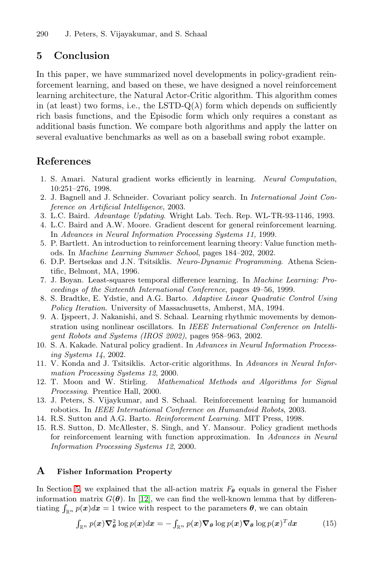290 J. Peters, S. Vijayakumar, and S. Schaal

# **5 Conclusion**

<span id="page-10-6"></span><span id="page-10-4"></span>In this paper, we have summarized novel developments in policy-gradient reinforcement learning, and based on these, we have designed a novel reinforcement learning architecture, the Natural Actor-Critic algorithm. This algorithm comes in (at least) two forms, i.e., the LSTD- $Q(\lambda)$  form which depends on sufficiently rich basis functions, and the Episodic form which only requires a constant as additional basis function. We compare both algorithms and apply the latter on several evaluative benchmarks as well as on a baseball swing robot example.

# <span id="page-10-10"></span><span id="page-10-1"></span><span id="page-10-0"></span>**References**

- 1. S. Amari. Natural gradient works efficiently in learning. Neural Computation, 10:251–276, 1998.
- <span id="page-10-9"></span>2. J. Bagnell and J. Schneider. Covariant policy search. In International Joint Conference on Artificial Intelligence, 2003.
- 3. L.C. Baird. Advantage Updating. Wright Lab. Tech. Rep. WL-TR-93-1146, 1993.
- <span id="page-10-13"></span><span id="page-10-12"></span>4. L.C. Baird and A.W. Moore. Gradient descent for general reinforcement learning. In Advances in Neural Information Processing Systems 11, 1999.
- 5. P. Bartlett. An introduction to reinforcement learning theory: Value function methods. In Machine Learning Summer School, pages 184–202, 2002.
- <span id="page-10-7"></span>6. D.P. Bertsekas and J.N. Tsitsiklis. Neuro-Dynamic Programming. Athena Scientific, Belmont, MA, 1996.
- <span id="page-10-3"></span>7. J. Boyan. Least-squares temporal difference learning. In Machine Learning: Proceedings of the Sixteenth International Conference, pages 49–56, 1999.
- <span id="page-10-14"></span>8. S. Bradtke, E. Ydstie, and A.G. Barto. Adaptive Linear Quadratic Control Using Policy Iteration. University of Massachusetts, Amherst, MA, 1994.
- 9. A. Ijspeert, J. Nakanishi, and S. Schaal. Learning rhythmic movements by demonstration using nonlinear oscillators. In IEEE International Conference on Intelligent Robots and Systems (IROS 2002), pages 958–963, 2002.
- <span id="page-10-11"></span><span id="page-10-5"></span><span id="page-10-2"></span>10. S. A. Kakade. Natural policy gradient. In Advances in Neural Information Processing Systems 14, 2002.
- 11. V. Konda and J. Tsitsiklis. Actor-critic algorithms. In Advances in Neural Information Processing Systems 12, 2000.
- <span id="page-10-8"></span>12. T. Moon and W. Stirling. Mathematical Methods and Algorithms for Signal Processing. Prentice Hall, 2000.
- 13. J. Peters, S. Vijaykumar, and S. Schaal. Reinforcement learning for humanoid robotics. In IEEE International Conference on Humandoid Robots, 2003.
- 14. R.S. Sutton and A.G. Barto. Reinforcement Learning. MIT Press, 1998.
- 15. R.S. [Sut](#page-10-14)ton, D. McAllester, S. Singh, and Y. Mansour. Policy gradient methods for reinforcement learning with function approximation. In Advances in Neural Information Processing Systems 12, 2000.

### **A Fisher Information Property**

In Section 5, we explained that the all-action matrix  $F_{\theta}$  equals in general the Fisher information matrix  $G(\theta)$ . In [12], we can find the well-known lemma that by differentiating  $\int_{\mathbb{R}^n} p(x)dx = 1$  twice with respect to the parameters  $\theta$ , we can obtain

$$
\int_{\mathbb{R}^n} p(x) \nabla_{\theta}^2 \log p(x) dx = - \int_{\mathbb{R}^n} p(x) \nabla_{\theta} \log p(x) \nabla_{\theta} \log p(x)^T dx \tag{15}
$$